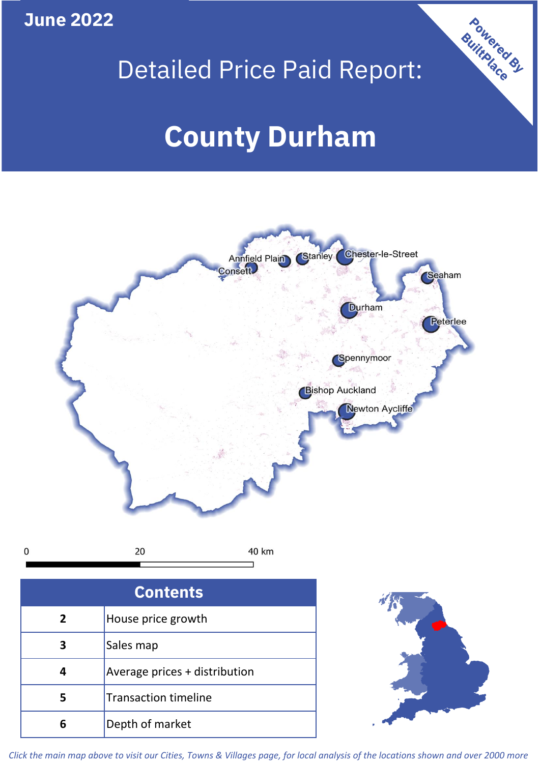**June 2022**

## Detailed Price Paid Report:

# **County Durham**



20  $\mathbf 0$ 40 km

| <b>Contents</b> |                               |  |  |
|-----------------|-------------------------------|--|--|
| $\mathbf{2}$    | House price growth            |  |  |
| З               | Sales map                     |  |  |
|                 | Average prices + distribution |  |  |
| 5               | <b>Transaction timeline</b>   |  |  |
|                 | Depth of market               |  |  |



Powered By

*Click the main map above to visit our Cities, Towns & Villages page, for local analysis of the locations shown and over 2000 more*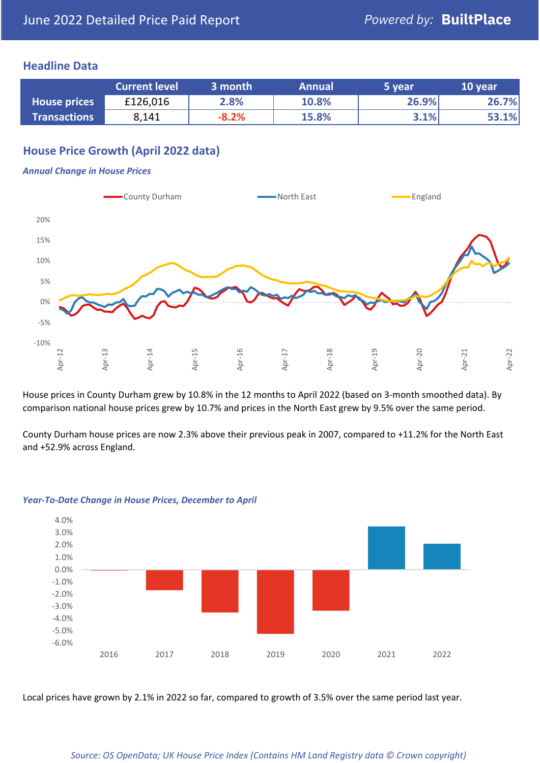#### **Headline Data**

|                     | <b>Current level</b> | 3 month | <b>Annual</b> | 5 year | 10 year |
|---------------------|----------------------|---------|---------------|--------|---------|
| <b>House prices</b> | £126,016             | 2.8%    | 10.8%         | 26.9%  | 26.7%   |
| <b>Transactions</b> | 8,141                | $-8.2%$ | 15.8%         | 3.1%   | 53.1%   |

#### **House Price Growth (April 2022 data)**

#### *Annual Change in House Prices*



House prices in County Durham grew by 10.8% in the 12 months to April 2022 (based on 3-month smoothed data). By comparison national house prices grew by 10.7% and prices in the North East grew by 9.5% over the same period.

County Durham house prices are now 2.3% above their previous peak in 2007, compared to +11.2% for the North East and +52.9% across England.



#### *Year-To-Date Change in House Prices, December to April*

Local prices have grown by 2.1% in 2022 so far, compared to growth of 3.5% over the same period last year.

#### *Source: OS OpenData; UK House Price Index (Contains HM Land Registry data © Crown copyright)*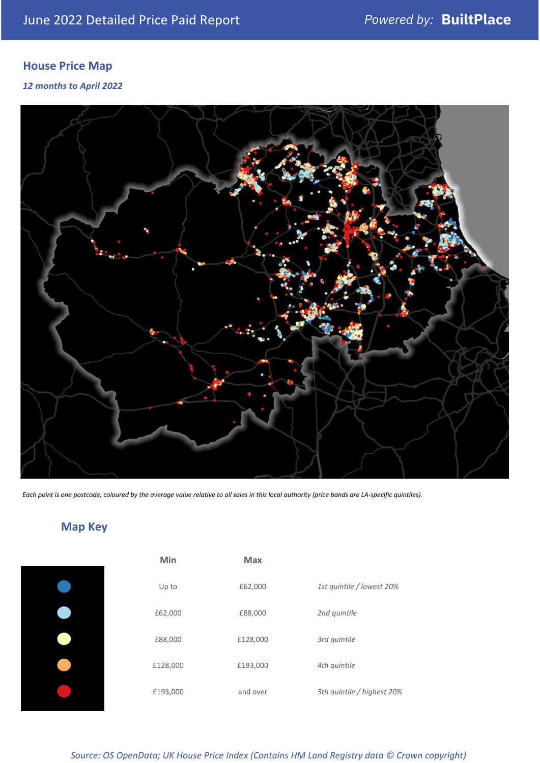### **House Price Map**

*12 months to April 2022*



*Each point is one postcode, coloured by the average value relative to all sales in this local authority (price bands are LA-specific quintiles).*

**Map Key**

| Min      | <b>Max</b> |                            |
|----------|------------|----------------------------|
| Up to    | £62,000    | 1st quintile / lowest 20%  |
| £62,000  | £88,000    | 2nd quintile               |
| £88,000  | £128,000   | 3rd quintile               |
| £128,000 | £193,000   | 4th quintile               |
| £193,000 | and over   | 5th quintile / highest 20% |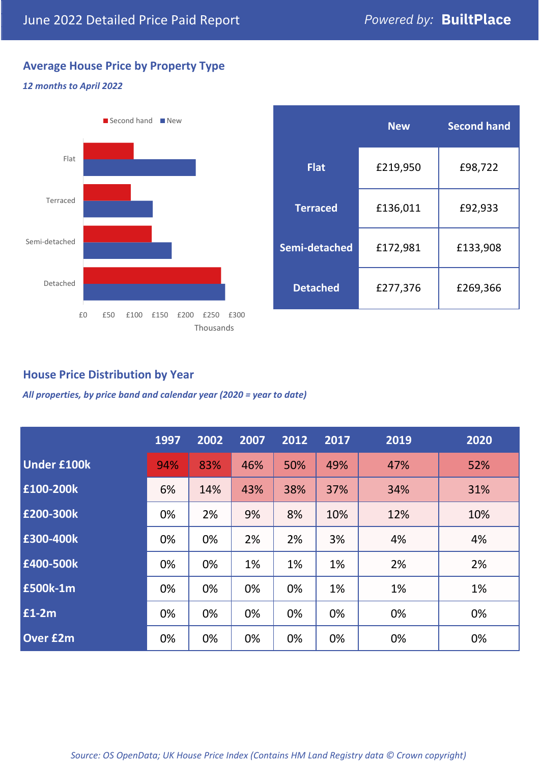### **Average House Price by Property Type**

#### *12 months to April 2022*



|                 | <b>New</b> | <b>Second hand</b> |  |  |
|-----------------|------------|--------------------|--|--|
| <b>Flat</b>     | £219,950   | £98,722            |  |  |
| <b>Terraced</b> | £136,011   | £92,933            |  |  |
| Semi-detached   | £172,981   | £133,908           |  |  |
| <b>Detached</b> | £277,376   | £269,366           |  |  |

#### **House Price Distribution by Year**

*All properties, by price band and calendar year (2020 = year to date)*

|                    | 1997 | 2002 | 2007 | 2012 | 2017 | 2019 | 2020 |
|--------------------|------|------|------|------|------|------|------|
| <b>Under £100k</b> | 94%  | 83%  | 46%  | 50%  | 49%  | 47%  | 52%  |
| £100-200k          | 6%   | 14%  | 43%  | 38%  | 37%  | 34%  | 31%  |
| £200-300k          | 0%   | 2%   | 9%   | 8%   | 10%  | 12%  | 10%  |
| £300-400k          | 0%   | 0%   | 2%   | 2%   | 3%   | 4%   | 4%   |
| £400-500k          | 0%   | 0%   | 1%   | 1%   | 1%   | 2%   | 2%   |
| £500k-1m           | 0%   | 0%   | 0%   | 0%   | 1%   | 1%   | 1%   |
| £1-2m              | 0%   | 0%   | 0%   | 0%   | 0%   | 0%   | 0%   |
| <b>Over £2m</b>    | 0%   | 0%   | 0%   | 0%   | 0%   | 0%   | 0%   |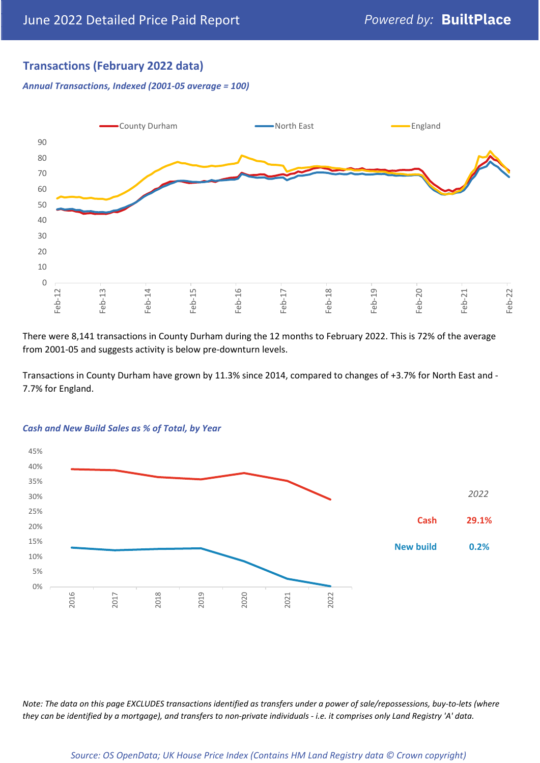### **Transactions (February 2022 data)**

*Annual Transactions, Indexed (2001-05 average = 100)*



There were 8,141 transactions in County Durham during the 12 months to February 2022. This is 72% of the average from 2001-05 and suggests activity is below pre-downturn levels.

Transactions in County Durham have grown by 11.3% since 2014, compared to changes of +3.7% for North East and - 7.7% for England.



#### *Cash and New Build Sales as % of Total, by Year*

*Note: The data on this page EXCLUDES transactions identified as transfers under a power of sale/repossessions, buy-to-lets (where they can be identified by a mortgage), and transfers to non-private individuals - i.e. it comprises only Land Registry 'A' data.*